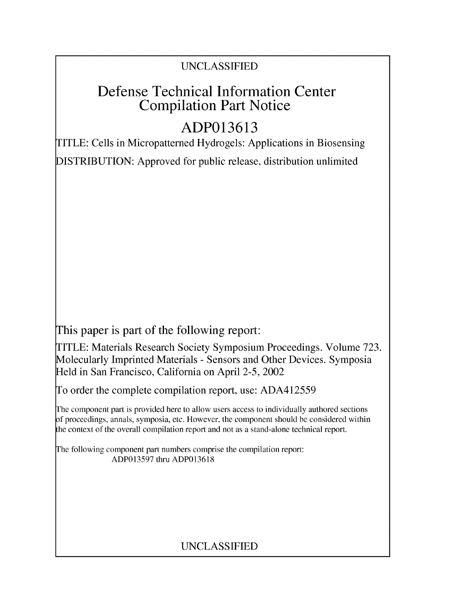## UNCLASSIFIED

## Defense Technical Information Center Compilation Part Notice

# **ADP013613**

TITLE: Cells in Micropatterned Hydrogels: Applications in Biosensing DISTRIBUTION: Approved for public release, distribution unlimited

This paper is part of the following report:

TITLE: Materials Research Society Symposium Proceedings. Volume 723. Molecularly Imprinted Materials - Sensors and Other Devices. Symposia Held in San Francisco, California on April 2-5, 2002

To order the complete compilation report, use: ADA412559

The component part is provided here to allow users access to individually authored sections **)f** proceedings, annals, symposia, etc. However, the component should be considered within [he context of the overall compilation report and not as a stand-alone technical report.

The following component part numbers comprise the compilation report: ADP013597 thru ADP013618

### UNCLASSIFIED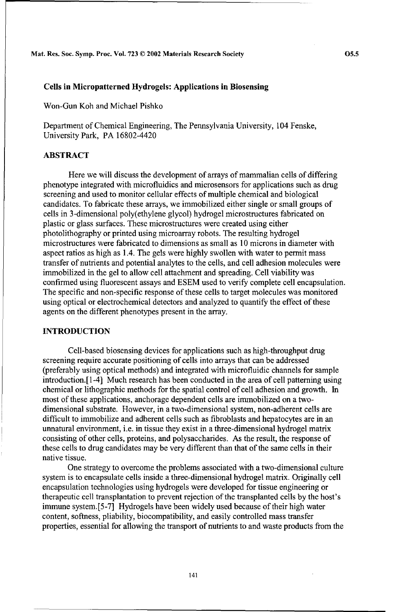Mat. Res. Soc. Symp. Proc. Vol. **723 ©** 2002 Materials Research Society **05.5**

#### Cells in Micropatterned Hydrogels: Applications in Biosensing

Won-Gun Koh and Michael Pishko

Department of Chemical Engineering, The Pennsylvania University, 104 Fenske, University Park, PA 16802-4420

#### ABSTRACT

Here we will discuss the development of arrays of mammalian cells of differing phenotype integrated with microfluidics and microsensors for applications such as drug screening and used to monitor cellular effects of multiple chemical and biological candidates. To fabricate these arrays, we immobilized either single or small groups of cells in 3-dimensional poly(ethylene glycol) hydrogel microstructures fabricated on plastic or glass surfaces. These microstructures were created using either photolithography or printed using microarray robots. The resulting hydrogel microstructures were fabricated to dimensions as small as 10 microns in diameter with aspect ratios as high as 1.4. The gels were highly swollen with water to permit mass transfer of nutrients and potential analytes to the cells, and cell adhesion molecules were immobilized in the gel to allow cell attachment and spreading. Cell viability was confirmed using fluorescent assays and ESEM used to verify complete cell encapsulation. The specific and non-specific response of these cells to target molecules was monitored using optical or electrochemical detectors and analyzed to quantify the effect of these agents on the different phenotypes present in the array.

#### **INTRODUCTION**

Cell-based biosensing devices for applications such as high-throughput drug screening require accurate positioning of cells into arrays that can be addressed (preferably using optical methods) and integrated with microfluidic channels for sample introduction.[ 1-4] Much research has been conducted in the area of cell patterning using chemical or lithographic methods for the spatial control of cell adhesion and growth. In most of these applications, anchorage dependent cells are immobilized on a twodimensional substrate. However, in a two-dimensional system, non-adherent cells are difficult to immobilize and adherent cells such as fibroblasts and hepatocytes are in an unnatural environment, i.e. in tissue they exist in a three-dimensional hydrogel matrix consisting of other cells, proteins, and polysaccharides. As the result, the response of these cells to drug candidates may be very different than that of the same cells in their native tissue.

One strategy to overcome the problems associated with a two-dimensional culture system is to encapsulate cells inside a three-dimensional hydrogel matrix. Originally cell encapsulation technologies using hydrogels were developed for tissue engineering or therapeutic cell transplantation to prevent rejection of the transplanted cells by the host's immune system.[5-7] Hydrogels have been widely used because of their high water content, softness, pliability, biocompatibility, and easily controlled mass transfer properties, essential for allowing the transport of nutrients to and waste products from the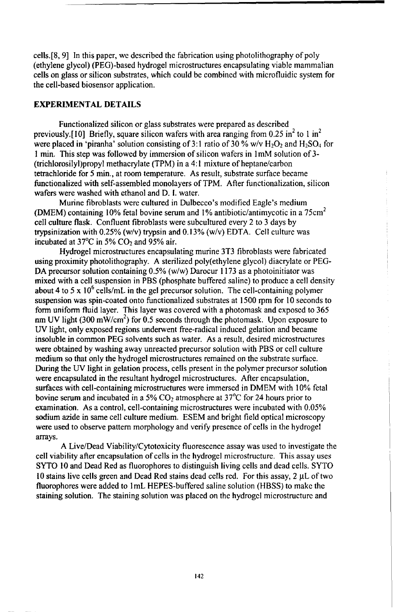cells.[8, 9] In this paper, we described the fabrication using photolithography of poly (ethylene glycol) (PEG)-based hydrogel microstructures encapsulating viable mammalian cells on glass or silicon substrates, which could be combined with microfluidic system for the cell-based biosensor application.

#### EXPERIMENTAL DETAILS

Functionalized silicon or glass substrates were prepared as described previously.[10] Briefly, square silicon wafers with area ranging from 0.25 in<sup>2</sup> to 1 in<sup>2</sup> were placed in 'piranha' solution consisting of 3:1 ratio of 30 % w/v  $H_2O_2$  and  $H_2SO_4$  for **I** min. This step was followed by immersion of silicon wafers in 1mM solution of 3- (trichlorosilyl)propyl methacrylate (TPM) in a 4:1 mixture of heptane/carbon tetrachloride for 5 min., at room temperature. As result, substrate surface became functionalized with self-assembled monolayers of TPM. After functionalization, silicon wafers were washed with ethanol and D. **1.** water.

Murine fibroblasts were cultured in Dulbecco's modified Eagle's medium (DMEM) containing 10% fetal bovine serum and 1% antibiotic/antimycotic in a 75cm<sup>2</sup> cell culture flask. Confluent fibroblasts were subcultured every 2 to 3 days by trypsinization with 0.25% (w/v) trypsin and 0.13% (w/v) EDTA. Cell culture was incubated at  $37^{\circ}$ C in 5% CO<sub>2</sub> and 95% air.

Hydrogel microstructures encapsulating murine 3T3 fibroblasts were fabricated using proximity photolithography. A sterilized poly(ethylene glycol) diacrylate or PEG-DA precursor solution containing 0.5% (w/w) Darocur 1173 as a photoinitiator was mixed with a cell suspension in PBS (phosphate buffered saline) to produce a cell density about 4 to 5 x  $10^6$  cells/mL in the gel precursor solution. The cell-containing polymer suspension was spin-coated onto functionalized substrates at 1500 rpm for 10 seconds to form uniform fluid layer. This layer was covered with a photomask and exposed to 365 nm UV light (300 mW/cm<sup>2</sup>) for 0.5 seconds through the photomask. Upon exposure to UV light, only exposed regions underwent free-radical induced gelation and became insoluble in common PEG solvents such as water. As a result, desired microstructures were obtained by washing away unreacted precursor solution with PBS or cell culture medium so that only the hydrogel microstructures remained on the substrate surface. During the UV light in gelation process, cells present in the polymer precursor solution were encapsulated in the resultant hydrogel microstructures. After encapsulation, surfaces with cell-containing microstructures were immersed in DMEM with 10% fetal bovine serum and incubated in a  $5\%$  CO<sub>2</sub> atmosphere at  $37^{\circ}$ C for 24 hours prior to examination. As a control, cell-containing microstructures were incubated with 0.05% sodium azide in same cell culture medium. ESEM and bright field optical microscopy were used to observe pattern morphology and verify presence of cells in the hydrogel arrays. A Live/Dead Viability/Cytotoxicity fluorescence assay was used to investigate the

cell viability after encapsulation of cells in the hydrogel microstructure. This assay uses SYTO 10 and Dead Red as fluorophores to distinguish living cells and dead cells. SYTO 10 stains live cells green and Dead Red stains dead cells red. For this assay, 2 µL of two fluorophores were added to 1mL HEPES-buffered saline solution (HBSS) to make the staining solution. The staining solution was placed on the hydrogel microstructure and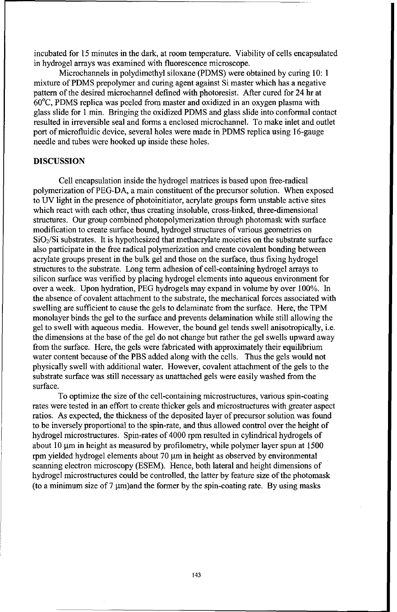incubated for 15 minutes in the dark, at room temperature. Viability of cells encapsulated in hydrogel arrays was examined with fluorescence microscope.

Microchannels in polydimethyl siloxane (PDMS) were obtained by curing 10: **1** mixture of PDMS prepolymer and curing agent against Si master which has a negative pattern of the desired microchannel defined with photoresist. After cured for 24 hr at 60°C, PDMS replica was peeled from master and oxidized in an oxygen plasma with glass slide for **I** min. Bringing the oxidized PDMS and glass slide into conformal contact resulted in irreversible seal and forms a enclosed microchannel. To make inlet and outlet port of microfluidic device, several holes were made in PDMS replica using 16-gauge needle and tubes were hooked up inside these holes.

#### DISCUSSION

Cell encapsulation inside the hydrogel matrices is based upon free-radical polymerization of PEG-DA, a main constituent of the precursor solution. When exposed to UV light in the presence of photoinitiator, acrylate groups form unstable active sites which react with each other, thus creating insoluble, cross-linked, three-dimensional structures. Our group combined photopolymerization through photomask with surface modification to create surface bound, hydrogel structures of various geometries on  $SiO<sub>2</sub>/Si$  substrates. It is hypothesized that methacrylate moieties on the substrate surface also participate in the free radical polymerization and create covalent bonding between acrylate groups present in the bulk gel and those on the surface, thus fixing hydrogel structures to the substrate. Long term adhesion of cell-containing hydrogel arrays to silicon surface was verified by placing hydrogel elements into aqueous environment for over a week. Upon hydration, PEG hydrogels may expand in volume by over 100%. In the absence of covalent attachment to the substrate, the mechanical forces associated with swelling are sufficient to cause the gels to delaminate from the surface. Here, the TPM monolayer binds the gel to the surface and prevents delamination while still allowing the gel to swell with aqueous media. However, the bound gel tends swell anisotropically, i.e. the dimensions at the base of the gel do not change but rather the gel swells upward away from the surface. Here, the gels were fabricated with approximately their equilibrium water content because of the PBS added along with the cells. Thus the gels would not physically swell with additional water. However, covalent attachment of the gels to the substrate surface was still necessary as unattached gels were easily washed from the surface.

To optimize the size of the cell-containing microstructures, various spin-coating rates were tested in an effort to create thicker gels and microstructures with greater aspect ratios. As expected, the thickness of the deposited layer of precursor solution was found to be inversely proportional to the spin-rate, and thus allowed control over the height of hydrogel microstructures. Spin-rates of 4000 rpm resulted in cylindrical hydrogels of about 10  $\mu$ m in height as measured by profilometry, while polymer layer spun at 1500 rpm yielded hydrogel elements about 70  $\mu$ m in height as observed by environmental scanning electron microscopy (ESEM). Hence, both lateral and height dimensions of hydrogel microstructures could be controlled, the latter by feature size of the photomask (to a minimum size of  $7 \mu m$ )and the former by the spin-coating rate. By using masks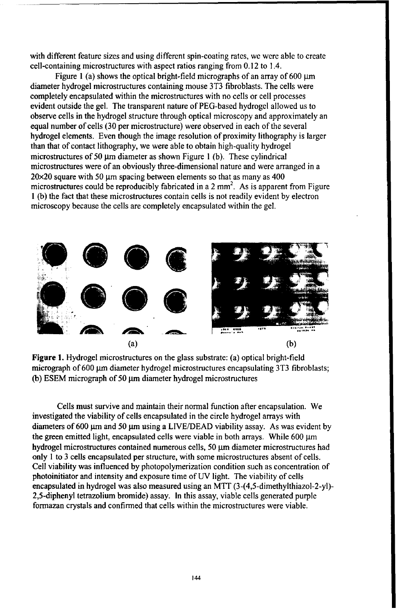with different feature sizes and using different spin-coating rates, we were able to create cell-containing microstructures with aspect ratios ranging from 0.12 to 1.4.

Figure 1 (a) shows the optical bright-field micrographs of an array of  $600 \mu m$ diameter hydrogel microstructures containing mouse 3T3 fibroblasts. The cells were completely encapsulated within the microstructures with no cells or cell processes evident outside the gel. The transparent nature of PEG-based hydrogel allowed us to observe cells in the hydrogel structure through optical microscopy and approximately an equal number of cells (30 per microstructure) were observed in each of the several hydrogel elements. Even though the image resolution of proximity lithography is larger than that of contact lithography, we were able to obtain high-quality hydrogel microstructures of 50  $\mu$ m diameter as shown Figure 1 (b). These cylindrical microstructures were of an obviously three-dimensional nature and were arranged in a  $20\times20$  square with 50 µm spacing between elements so that as many as 400 microstructures could be reproducibly fabricated in a 2 mm<sup>2</sup>. As is apparent from Figure 1 (b) the fact that these microstructures contain cells is not readily evident by electron microscopy because the cells are completely encapsulated within the gel.



Figure 1. Hydrogel microstructures on the glass substrate: (a) optical bright-field micrograph of 600 µm diameter hydrogel microstructures encapsulating 3T3 fibroblasts; (b) ESEM micrograph of 50  $\mu$ m diameter hydrogel microstructures

Cells must survive and maintain their normal function after encapsulation. We investigated the viability of cells encapsulated in the circle hydrogel arrays with diameters of 600 µm and 50 µm using a LIVE/DEAD viability assay. As was evident by the green emitted light, encapsulated cells were viable in both arrays. While 600 µm hydrogel microstructures contained numerous cells, 50 µm diameter microstructures had only I to 3 cells encapsulated per structure, with some microstructures absent of cells. Cell viability was influenced by photopolymerization condition such as concentration of photoinitiator and intensity and exposure time of UV light. The viability of cells encapsulated in hydrogel was also measured using an MTT (3-(4,5-dimethylthiazol-2-yl)- 2,5-diphenyl tetrazolium bromide) assay. In this assay, viable cells generated purple formazan crystals and confirmed that cells within the microstructures were viable.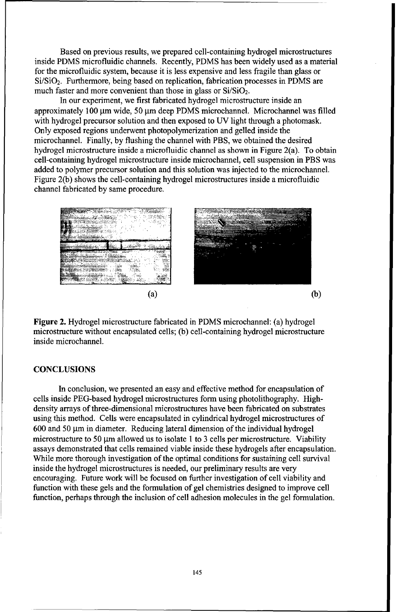Based on previous results, we prepared cell-containing hydrogel microstructures inside PDMS microfluidic channels. Recently, PDMS has been widely used as a material for the microfluidic system, because it is less expensive and less fragile than glass or Si/SiO2. Furthermore, being based on replication, fabrication processes in PDMS are much faster and more convenient than those in glass or  $Si/SiO<sub>2</sub>$ .

In our experiment, we first fabricated hydrogel microstructure inside an approximately 100 µm wide, 50 µm deep PDMS microchannel. Microchannel was filled with hydrogel precursor solution and then exposed to UV light through a photomask. Only exposed regions underwent photopolymerization and gelled inside the microchannel. Finally, by flushing the channel with PBS, we obtained the desired hydrogel microstructure inside a microfluidic channel as shown in Figure 2(a). To obtain cell-containing hydrogel microstructure inside microchannel, cell suspension in PBS was added to polymer precursor solution and this solution was injected to the microchannel. Figure 2(b) shows the cell-containing hydrogel microstructures inside a microfluidic channel fabricated by same procedure.



Figure 2. Hydrogel microstructure fabricated in PDMS microchannel: (a) hydrogel microstructure without encapsulated cells; (b) cell-containing hydrogel microstructure inside microchannel.

#### **CONCLUSIONS**

In conclusion, we presented an easy and effective method for encapsulation of cells inside PEG-based hydrogel microstructures form using photolithography. Highdensity arrays of three-dimensional microstructures have been fabricated on substrates using this method. Cells were encapsulated in cylindrical hydrogel microstructures of  $600$  and  $50 \mu m$  in diameter. Reducing lateral dimension of the individual hydrogel microstructure to 50  $\mu$ m allowed us to isolate 1 to 3 cells per microstructure. Viability assays demonstrated that cells remained viable inside these hydrogels after encapsulation. While more thorough investigation of the optimal conditions for sustaining cell survival inside the hydrogel microstructures is needed, our preliminary results are very encouraging. Future work will be focused on further investigation of cell viability and function with these gels and the formulation of gel chemistries designed to improve cell function, perhaps through the inclusion of cell adhesion molecules in the gel formulation.